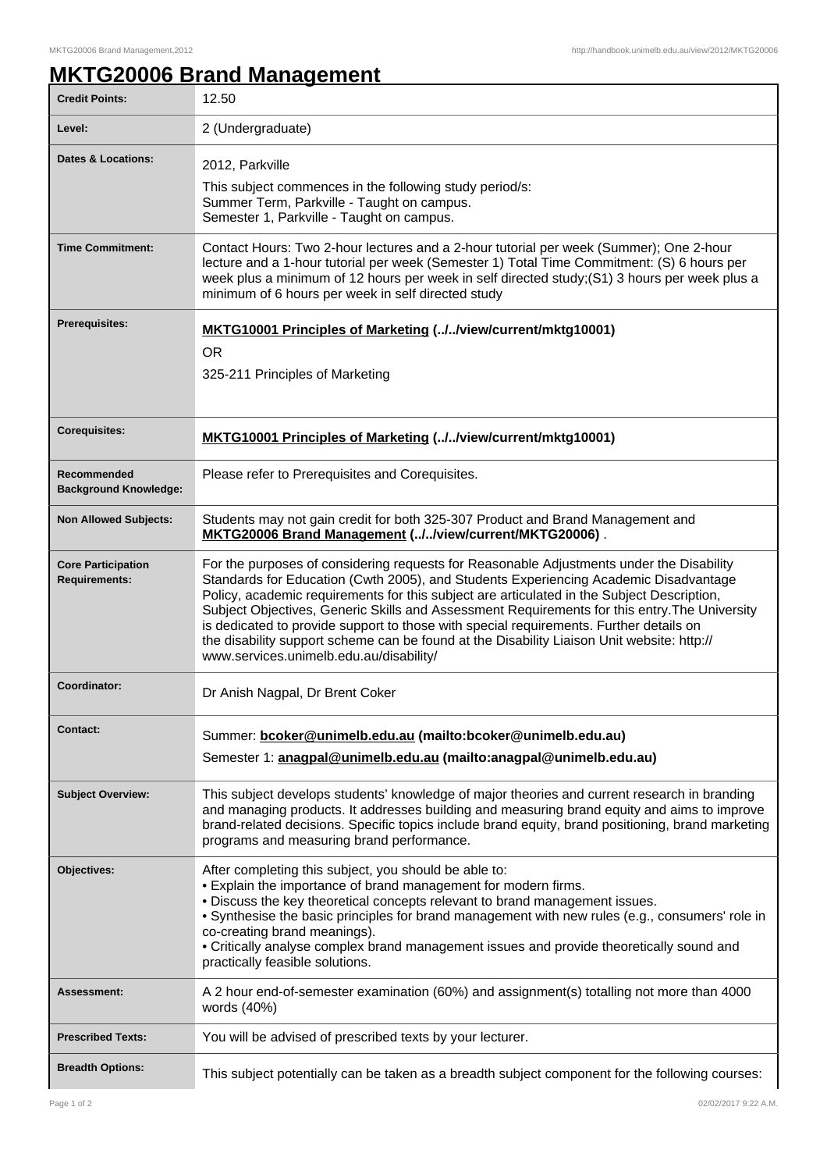٦

## **MKTG20006 Brand Management**

| <b>Credit Points:</b>                             | 12.50                                                                                                                                                                                                                                                                                                                                                                                                                                                                                                                                                                                                              |
|---------------------------------------------------|--------------------------------------------------------------------------------------------------------------------------------------------------------------------------------------------------------------------------------------------------------------------------------------------------------------------------------------------------------------------------------------------------------------------------------------------------------------------------------------------------------------------------------------------------------------------------------------------------------------------|
| Level:                                            | 2 (Undergraduate)                                                                                                                                                                                                                                                                                                                                                                                                                                                                                                                                                                                                  |
| <b>Dates &amp; Locations:</b>                     | 2012, Parkville<br>This subject commences in the following study period/s:<br>Summer Term, Parkville - Taught on campus.<br>Semester 1, Parkville - Taught on campus.                                                                                                                                                                                                                                                                                                                                                                                                                                              |
| <b>Time Commitment:</b>                           | Contact Hours: Two 2-hour lectures and a 2-hour tutorial per week (Summer); One 2-hour<br>lecture and a 1-hour tutorial per week (Semester 1) Total Time Commitment: (S) 6 hours per<br>week plus a minimum of 12 hours per week in self directed study;(S1) 3 hours per week plus a<br>minimum of 6 hours per week in self directed study                                                                                                                                                                                                                                                                         |
| <b>Prerequisites:</b>                             | MKTG10001 Principles of Marketing (//view/current/mktg10001)<br><b>OR</b><br>325-211 Principles of Marketing                                                                                                                                                                                                                                                                                                                                                                                                                                                                                                       |
| <b>Corequisites:</b>                              | <b>MKTG10001 Principles of Marketing (//view/current/mktg10001)</b>                                                                                                                                                                                                                                                                                                                                                                                                                                                                                                                                                |
| Recommended<br><b>Background Knowledge:</b>       | Please refer to Prerequisites and Corequisites.                                                                                                                                                                                                                                                                                                                                                                                                                                                                                                                                                                    |
| <b>Non Allowed Subjects:</b>                      | Students may not gain credit for both 325-307 Product and Brand Management and<br>MKTG20006 Brand Management (//view/current/MKTG20006).                                                                                                                                                                                                                                                                                                                                                                                                                                                                           |
| <b>Core Participation</b><br><b>Requirements:</b> | For the purposes of considering requests for Reasonable Adjustments under the Disability<br>Standards for Education (Cwth 2005), and Students Experiencing Academic Disadvantage<br>Policy, academic requirements for this subject are articulated in the Subject Description,<br>Subject Objectives, Generic Skills and Assessment Requirements for this entry. The University<br>is dedicated to provide support to those with special requirements. Further details on<br>the disability support scheme can be found at the Disability Liaison Unit website: http://<br>www.services.unimelb.edu.au/disability/ |
| Coordinator:                                      | Dr Anish Nagpal, Dr Brent Coker                                                                                                                                                                                                                                                                                                                                                                                                                                                                                                                                                                                    |
| <b>Contact:</b>                                   | Summer: bcoker@unimelb.edu.au (mailto:bcoker@unimelb.edu.au)<br>Semester 1: anagpal@unimelb.edu.au (mailto:anagpal@unimelb.edu.au)                                                                                                                                                                                                                                                                                                                                                                                                                                                                                 |
| <b>Subject Overview:</b>                          | This subject develops students' knowledge of major theories and current research in branding<br>and managing products. It addresses building and measuring brand equity and aims to improve<br>brand-related decisions. Specific topics include brand equity, brand positioning, brand marketing<br>programs and measuring brand performance.                                                                                                                                                                                                                                                                      |
| Objectives:                                       | After completing this subject, you should be able to:<br>• Explain the importance of brand management for modern firms.<br>. Discuss the key theoretical concepts relevant to brand management issues.<br>. Synthesise the basic principles for brand management with new rules (e.g., consumers' role in<br>co-creating brand meanings).<br>• Critically analyse complex brand management issues and provide theoretically sound and<br>practically feasible solutions.                                                                                                                                           |
| Assessment:                                       | A 2 hour end-of-semester examination (60%) and assignment(s) totalling not more than 4000<br>words (40%)                                                                                                                                                                                                                                                                                                                                                                                                                                                                                                           |
| <b>Prescribed Texts:</b>                          | You will be advised of prescribed texts by your lecturer.                                                                                                                                                                                                                                                                                                                                                                                                                                                                                                                                                          |
| <b>Breadth Options:</b>                           | This subject potentially can be taken as a breadth subject component for the following courses:                                                                                                                                                                                                                                                                                                                                                                                                                                                                                                                    |